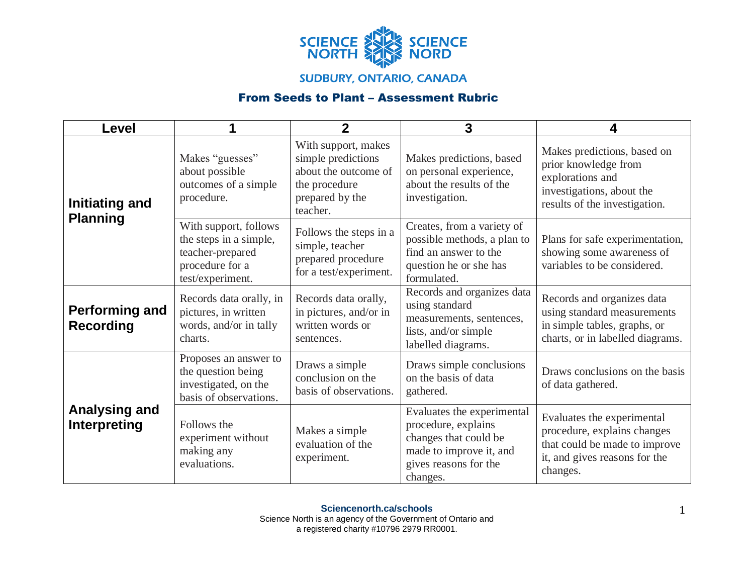

## **SUDBURY, ONTARIO, CANADA**

## From Seeds to Plant – Assessment Rubric

| <b>Level</b>                              |                                                                                                            | $\mathbf 2$                                                                                                       | $\overline{\mathbf{3}}$                                                                                                                    | 4                                                                                                                                       |
|-------------------------------------------|------------------------------------------------------------------------------------------------------------|-------------------------------------------------------------------------------------------------------------------|--------------------------------------------------------------------------------------------------------------------------------------------|-----------------------------------------------------------------------------------------------------------------------------------------|
| <b>Initiating and</b><br><b>Planning</b>  | Makes "guesses"<br>about possible<br>outcomes of a simple<br>procedure.                                    | With support, makes<br>simple predictions<br>about the outcome of<br>the procedure<br>prepared by the<br>teacher. | Makes predictions, based<br>on personal experience,<br>about the results of the<br>investigation.                                          | Makes predictions, based on<br>prior knowledge from<br>explorations and<br>investigations, about the<br>results of the investigation.   |
|                                           | With support, follows<br>the steps in a simple,<br>teacher-prepared<br>procedure for a<br>test/experiment. | Follows the steps in a<br>simple, teacher<br>prepared procedure<br>for a test/experiment.                         | Creates, from a variety of<br>possible methods, a plan to<br>find an answer to the<br>question he or she has<br>formulated.                | Plans for safe experimentation,<br>showing some awareness of<br>variables to be considered.                                             |
| <b>Performing and</b><br><b>Recording</b> | Records data orally, in<br>pictures, in written<br>words, and/or in tally<br>charts.                       | Records data orally,<br>in pictures, and/or in<br>written words or<br>sentences.                                  | Records and organizes data<br>using standard<br>measurements, sentences,<br>lists, and/or simple<br>labelled diagrams.                     | Records and organizes data<br>using standard measurements<br>in simple tables, graphs, or<br>charts, or in labelled diagrams.           |
|                                           | Proposes an answer to<br>the question being<br>investigated, on the<br>basis of observations.              | Draws a simple<br>conclusion on the<br>basis of observations.                                                     | Draws simple conclusions<br>on the basis of data<br>gathered.                                                                              | Draws conclusions on the basis<br>of data gathered.                                                                                     |
| <b>Analysing and</b><br>Interpreting      | Follows the<br>experiment without<br>making any<br>evaluations.                                            | Makes a simple<br>evaluation of the<br>experiment.                                                                | Evaluates the experimental<br>procedure, explains<br>changes that could be<br>made to improve it, and<br>gives reasons for the<br>changes. | Evaluates the experimental<br>procedure, explains changes<br>that could be made to improve<br>it, and gives reasons for the<br>changes. |